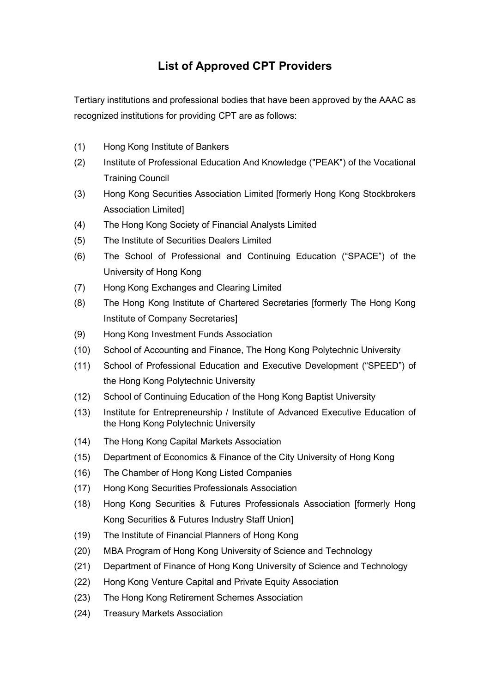## List of Approved CPT Providers

Tertiary institutions and professional bodies that have been approved by the AAAC as recognized institutions for providing CPT are as follows:

- (1) Hong Kong Institute of Bankers
- (2) Institute of Professional Education And Knowledge ("PEAK") of the Vocational Training Council
- (3) Hong Kong Securities Association Limited [formerly Hong Kong Stockbrokers Association Limited]
- (4) The Hong Kong Society of Financial Analysts Limited
- (5) The Institute of Securities Dealers Limited
- (6) The School of Professional and Continuing Education ("SPACE") of the University of Hong Kong
- (7) Hong Kong Exchanges and Clearing Limited
- (8) The Hong Kong Institute of Chartered Secretaries [formerly The Hong Kong Institute of Company Secretaries]
- (9) Hong Kong Investment Funds Association
- (10) School of Accounting and Finance, The Hong Kong Polytechnic University
- (11) School of Professional Education and Executive Development ("SPEED") of the Hong Kong Polytechnic University
- (12) School of Continuing Education of the Hong Kong Baptist University
- (13) Institute for Entrepreneurship / Institute of Advanced Executive Education of the Hong Kong Polytechnic University
- (14) The Hong Kong Capital Markets Association
- (15) Department of Economics & Finance of the City University of Hong Kong
- (16) The Chamber of Hong Kong Listed Companies
- (17) Hong Kong Securities Professionals Association
- (18) Hong Kong Securities & Futures Professionals Association [formerly Hong Kong Securities & Futures Industry Staff Union]
- (19) The Institute of Financial Planners of Hong Kong
- (20) MBA Program of Hong Kong University of Science and Technology
- (21) Department of Finance of Hong Kong University of Science and Technology
- (22) Hong Kong Venture Capital and Private Equity Association
- (23) The Hong Kong Retirement Schemes Association
- (24) Treasury Markets Association